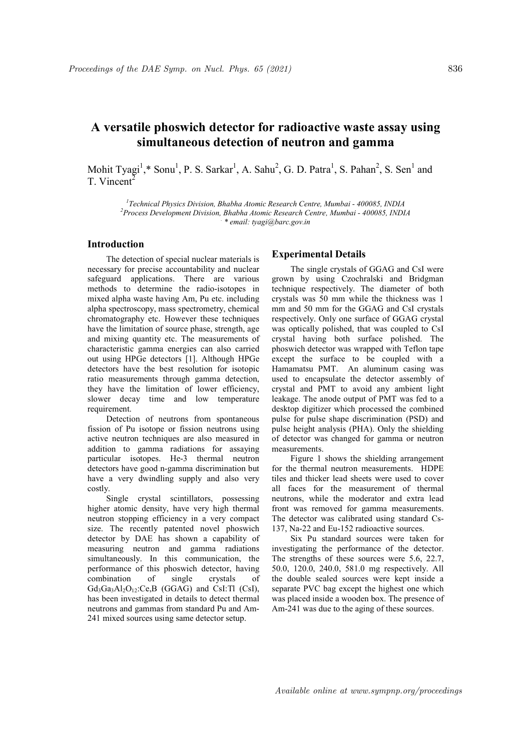# A versatile phoswich detector for radioactive waste assay using simultaneous detection of neutron and gamma

Mohit Tyagi<sup>1</sup>,\* Sonu<sup>1</sup>, P. S. Sarkar<sup>1</sup>, A. Sahu<sup>2</sup>, G. D. Patra<sup>1</sup>, S. Pahan<sup>2</sup>, S. Sen<sup>1</sup> and T. Vincent<sup>2</sup>

<sup>1</sup>Technical Physics Division, Bhabha Atomic Research Centre, Mumbai - 400085, INDIA <sup>2</sup>Process Development Division, Bhabha Atomic Research Centre, Mumbai - 400085, INDIA . \* email: tyagi@barc.gov.in

# Introduction

The detection of special nuclear materials is necessary for precise accountability and nuclear safeguard applications. There are various methods to determine the radio-isotopes in mixed alpha waste having Am, Pu etc. including alpha spectroscopy, mass spectrometry, chemical chromatography etc. However these techniques have the limitation of source phase, strength, age and mixing quantity etc. The measurements of characteristic gamma energies can also carried out using HPGe detectors [1]. Although HPGe detectors have the best resolution for isotopic ratio measurements through gamma detection, they have the limitation of lower efficiency, slower decay time and low temperature requirement.

Detection of neutrons from spontaneous fission of Pu isotope or fission neutrons using active neutron techniques are also measured in addition to gamma radiations for assaying particular isotopes. He-3 thermal neutron detectors have good n-gamma discrimination but have a very dwindling supply and also very costly.

Single crystal scintillators, possessing higher atomic density, have very high thermal neutron stopping efficiency in a very compact size. The recently patented novel phoswich detector by DAE has shown a capability of measuring neutron and gamma radiations simultaneously. In this communication, the performance of this phoswich detector, having combination of single crystals of  $Gd_3Ga_3Al_2O_{12}$ :Ce,B (GGAG) and CsI:Tl (CsI), has been investigated in details to detect thermal neutrons and gammas from standard Pu and Am-241 mixed sources using same detector setup.

### Experimental Details

The single crystals of GGAG and CsI were grown by using Czochralski and Bridgman technique respectively. The diameter of both crystals was 50 mm while the thickness was 1 mm and 50 mm for the GGAG and CsI crystals respectively. Only one surface of GGAG crystal was optically polished, that was coupled to CsI crystal having both surface polished. The phoswich detector was wrapped with Teflon tape except the surface to be coupled with a Hamamatsu PMT. An aluminum casing was used to encapsulate the detector assembly of crystal and PMT to avoid any ambient light leakage. The anode output of PMT was fed to a desktop digitizer which processed the combined pulse for pulse shape discrimination (PSD) and pulse height analysis (PHA). Only the shielding of detector was changed for gamma or neutron measurements.

Figure 1 shows the shielding arrangement for the thermal neutron measurements. HDPE tiles and thicker lead sheets were used to cover all faces for the measurement of thermal neutrons, while the moderator and extra lead front was removed for gamma measurements. The detector was calibrated using standard Cs-137, Na-22 and Eu-152 radioactive sources.

Six Pu standard sources were taken for investigating the performance of the detector. The strengths of these sources were 5.6, 22.7, 50.0, 120.0, 240.0, 581.0 mg respectively. All the double sealed sources were kept inside a separate PVC bag except the highest one which was placed inside a wooden box. The presence of Am-241 was due to the aging of these sources.